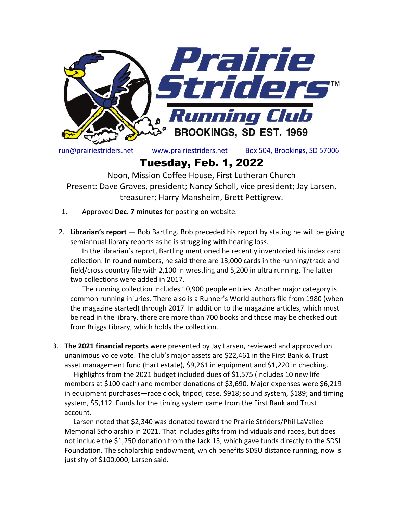

run@prairiestriders.net www.prairiestriders.net Box 504, Brookings, SD 57006

## Tuesday, Feb. 1, 2022

Noon, Mission Coffee House, First Lutheran Church Present: Dave Graves, president; Nancy Scholl, vice president; Jay Larsen, treasurer; Harry Mansheim, Brett Pettigrew.

- 1. Approved **Dec. 7 minutes** for posting on website.
- 2. **Librarian's report** Bob Bartling. Bob preceded his report by stating he will be giving semiannual library reports as he is struggling with hearing loss.

In the librarian's report, Bartling mentioned he recently inventoried his index card collection. In round numbers, he said there are 13,000 cards in the running/track and field/cross country file with 2,100 in wrestling and 5,200 in ultra running. The latter two collections were added in 2017.

The running collection includes 10,900 people entries. Another major category is common running injuries. There also is a Runner's World authors file from 1980 (when the magazine started) through 2017. In addition to the magazine articles, which must be read in the library, there are more than 700 books and those may be checked out from Briggs Library, which holds the collection.

3. **The 2021 financial reports** were presented by Jay Larsen, reviewed and approved on unanimous voice vote. The club's major assets are \$22,461 in the First Bank & Trust asset management fund (Hart estate), \$9,261 in equipment and \$1,220 in checking.

 Highlights from the 2021 budget included dues of \$1,575 (includes 10 new life members at \$100 each) and member donations of \$3,690. Major expenses were \$6,219 in equipment purchases—race clock, tripod, case, \$918; sound system, \$189; and timing system, \$5,112. Funds for the timing system came from the First Bank and Trust account.

 Larsen noted that \$2,340 was donated toward the Prairie Striders/Phil LaVallee Memorial Scholarship in 2021. That includes gifts from individuals and races, but does not include the \$1,250 donation from the Jack 15, which gave funds directly to the SDSI Foundation. The scholarship endowment, which benefits SDSU distance running, now is just shy of \$100,000, Larsen said.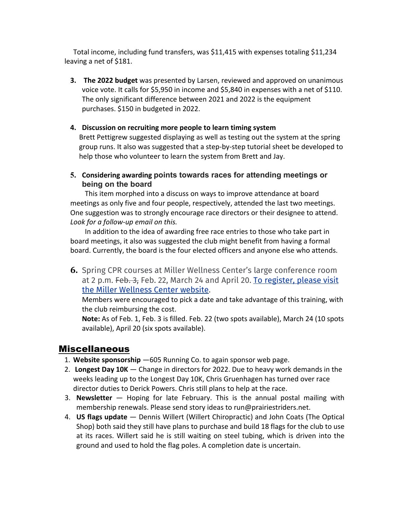Total income, including fund transfers, was \$11,415 with expenses totaling \$11,234 leaving a net of \$181.

**3. The 2022 budget** was presented by Larsen, reviewed and approved on unanimous voice vote. It calls for \$5,950 in income and \$5,840 in expenses with a net of \$110. The only significant difference between 2021 and 2022 is the equipment purchases. \$150 in budgeted in 2022.

## **4. Discussion on recruiting more people to learn timing system**

Brett Pettigrew suggested displaying as well as testing out the system at the spring group runs. It also was suggested that a step-by-step tutorial sheet be developed to help those who volunteer to learn the system from Brett and Jay.

**5. Considering awarding points towards races for attending meetings or being on the board**

This item morphed into a discuss on ways to improve attendance at board meetings as only five and four people, respectively, attended the last two meetings. One suggestion was to strongly encourage race directors or their designee to attend. *Look for a follow-up email on this.*

In addition to the idea of awarding free race entries to those who take part in board meetings, it also was suggested the club might benefit from having a formal board. Currently, the board is the four elected officers and anyone else who attends.

**6.** Spring CPR courses at Miller Wellness Center's large conference room at 2 p.m. Feb. 3, Feb. 22, March 24 and April 20. To register, please visit the Miller Wellness Center website.

Members were encouraged to pick a date and take advantage of this training, with the club reimbursing the cost.

**Note:** As of Feb. 1, Feb. 3 is filled. Feb. 22 (two spots available), March 24 (10 spots available), April 20 (six spots available).

## Miscellaneous

- 1. **Website sponsorship** —605 Running Co. to again sponsor web page.
- 2. **Longest Day 10K** Change in directors for 2022. Due to heavy work demands in the weeks leading up to the Longest Day 10K, Chris Gruenhagen has turned over race director duties to Derick Powers. Chris still plans to help at the race.
- 3. **Newsletter**  Hoping for late February. This is the annual postal mailing with membership renewals. Please send story ideas to run@prairiestriders.net.
- 4. **US flags update**  Dennis Willert (Willert Chiropractic) and John Coats (The Optical Shop) both said they still have plans to purchase and build 18 flags for the club to use at its races. Willert said he is still waiting on steel tubing, which is driven into the ground and used to hold the flag poles. A completion date is uncertain.